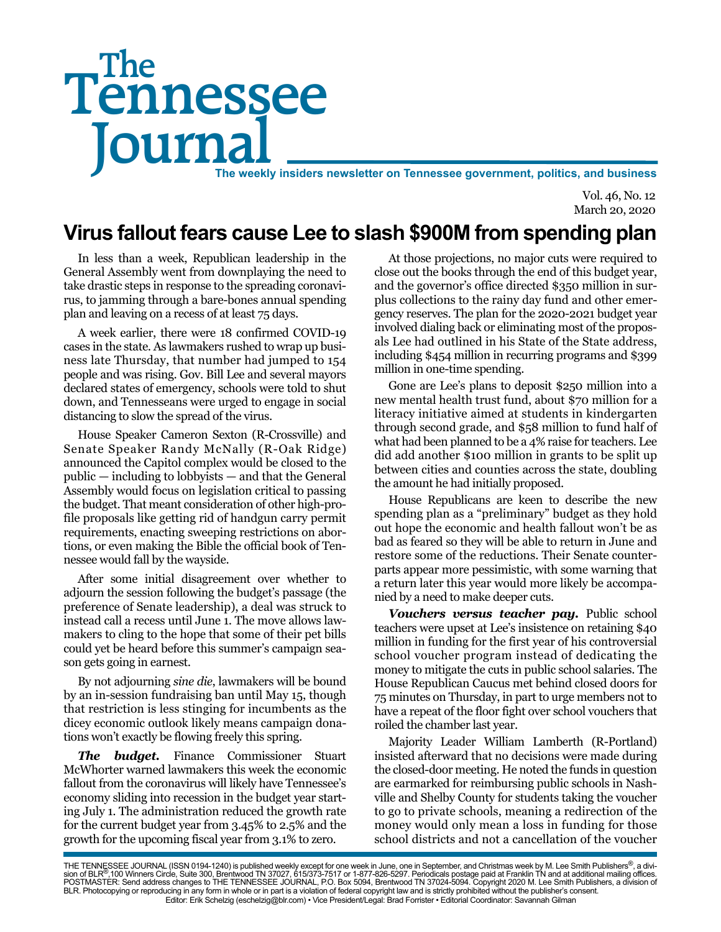# Tennessee **Journal** The weekly insiders newsletter on Tennessee government, politics, and business The

Vol. 46, No. 12 March 20, 2020

# **Virus fallout fears cause Lee to slash \$900M from spending plan**

In less than a week, Republican leadership in the General Assembly went from downplaying the need to take drastic steps in response to the spreading coronavirus, to jamming through a bare-bones annual spending plan and leaving on a recess of at least 75 days.

A week earlier, there were 18 confirmed COVID-19 cases in the state. As lawmakers rushed to wrap up business late Thursday, that number had jumped to 154 people and was rising. Gov. Bill Lee and several mayors declared states of emergency, schools were told to shut down, and Tennesseans were urged to engage in social distancing to slow the spread of the virus.

House Speaker Cameron Sexton (R-Crossville) and Senate Speaker Randy McNally (R-Oak Ridge) announced the Capitol complex would be closed to the public — including to lobbyists — and that the General Assembly would focus on legislation critical to passing the budget. That meant consideration of other high-profile proposals like getting rid of handgun carry permit requirements, enacting sweeping restrictions on abortions, or even making the Bible the official book of Tennessee would fall by the wayside.

After some initial disagreement over whether to adjourn the session following the budget's passage (the preference of Senate leadership), a deal was struck to instead call a recess until June 1. The move allows lawmakers to cling to the hope that some of their pet bills could yet be heard before this summer's campaign season gets going in earnest.

By not adjourning *sine die*, lawmakers will be bound by an in-session fundraising ban until May 15, though that restriction is less stinging for incumbents as the dicey economic outlook likely means campaign donations won't exactly be flowing freely this spring.

*The budget.* Finance Commissioner Stuart McWhorter warned lawmakers this week the economic fallout from the coronavirus will likely have Tennessee's economy sliding into recession in the budget year starting July 1. The administration reduced the growth rate for the current budget year from 3.45% to 2.5% and the growth for the upcoming fiscal year from 3.1% to zero.

At those projections, no major cuts were required to close out the books through the end of this budget year, and the governor's office directed \$350 million in surplus collections to the rainy day fund and other emergency reserves. The plan for the 2020-2021 budget year involved dialing back or eliminating most of the proposals Lee had outlined in his State of the State address, including \$454 million in recurring programs and \$399 million in one-time spending.

Gone are Lee's plans to deposit \$250 million into a new mental health trust fund, about \$70 million for a literacy initiative aimed at students in kindergarten through second grade, and \$58 million to fund half of what had been planned to be a 4% raise for teachers. Lee did add another \$100 million in grants to be split up between cities and counties across the state, doubling the amount he had initially proposed.

House Republicans are keen to describe the new spending plan as a "preliminary" budget as they hold out hope the economic and health fallout won't be as bad as feared so they will be able to return in June and restore some of the reductions. Their Senate counterparts appear more pessimistic, with some warning that a return later this year would more likely be accompanied by a need to make deeper cuts.

*Vouchers versus teacher pay.* Public school teachers were upset at Lee's insistence on retaining \$40 million in funding for the first year of his controversial school voucher program instead of dedicating the money to mitigate the cuts in public school salaries. The House Republican Caucus met behind closed doors for 75 minutes on Thursday, in part to urge members not to have a repeat of the floor fight over school vouchers that roiled the chamber last year.

Majority Leader William Lamberth (R-Portland) insisted afterward that no decisions were made during the closed-door meeting. He noted the funds in question are earmarked for reimbursing public schools in Nashville and Shelby County for students taking the voucher to go to private schools, meaning a redirection of the money would only mean a loss in funding for those school districts and not a cancellation of the voucher

THE TENNESSEE JOURNAL (ISSN 0194-1240) is published weekly except for one week in June, one in September, and Christmas week by M. Lee Smith Publishers®, a divi-<br>sion of BLR®,100 Winners Circle, Suite 300, Brentwood TN 370 BLR. Photocopying or reproducing in any form in whole or in part is a violation of federal copyright law and is strictly prohibited without the publisher's consent. Editor: Erik Schelzig (eschelzig@blr.com) • Vice President/Legal: Brad Forrister • Editorial Coordinator: Savannah Gilman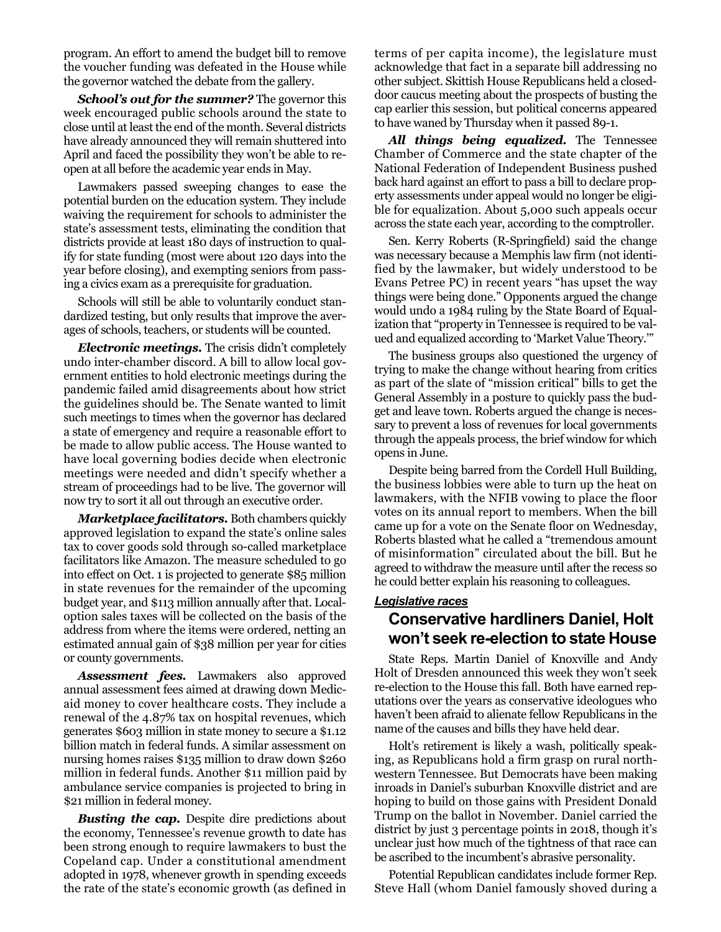program. An effort to amend the budget bill to remove the voucher funding was defeated in the House while the governor watched the debate from the gallery.

*School's out for the summer?* The governor this week encouraged public schools around the state to close until at least the end of the month. Several districts have already announced they will remain shuttered into April and faced the possibility they won't be able to reopen at all before the academic year ends in May.

Lawmakers passed sweeping changes to ease the potential burden on the education system. They include waiving the requirement for schools to administer the state's assessment tests, eliminating the condition that districts provide at least 180 days of instruction to qualify for state funding (most were about 120 days into the year before closing), and exempting seniors from passing a civics exam as a prerequisite for graduation.

Schools will still be able to voluntarily conduct standardized testing, but only results that improve the averages of schools, teachers, or students will be counted.

*Electronic meetings.* The crisis didn't completely undo inter-chamber discord. A bill to allow local government entities to hold electronic meetings during the pandemic failed amid disagreements about how strict the guidelines should be. The Senate wanted to limit such meetings to times when the governor has declared a state of emergency and require a reasonable effort to be made to allow public access. The House wanted to have local governing bodies decide when electronic meetings were needed and didn't specify whether a stream of proceedings had to be live. The governor will now try to sort it all out through an executive order.

*Marketplace facilitators.* Both chambers quickly approved legislation to expand the state's online sales tax to cover goods sold through so-called marketplace facilitators like Amazon. The measure scheduled to go into effect on Oct. 1 is projected to generate \$85 million in state revenues for the remainder of the upcoming budget year, and \$113 million annually after that. Localoption sales taxes will be collected on the basis of the address from where the items were ordered, netting an estimated annual gain of \$38 million per year for cities or county governments.

*Assessment fees.* Lawmakers also approved annual assessment fees aimed at drawing down Medicaid money to cover healthcare costs. They include a renewal of the 4.87% tax on hospital revenues, which generates \$603 million in state money to secure a \$1.12 billion match in federal funds. A similar assessment on nursing homes raises \$135 million to draw down \$260 million in federal funds. Another \$11 million paid by ambulance service companies is projected to bring in \$21 million in federal money.

*Busting the cap.* Despite dire predictions about the economy, Tennessee's revenue growth to date has been strong enough to require lawmakers to bust the Copeland cap. Under a constitutional amendment adopted in 1978, whenever growth in spending exceeds the rate of the state's economic growth (as defined in

terms of per capita income), the legislature must acknowledge that fact in a separate bill addressing no other subject. Skittish House Republicans held a closeddoor caucus meeting about the prospects of busting the cap earlier this session, but political concerns appeared to have waned by Thursday when it passed 89-1.

*All things being equalized.* The Tennessee Chamber of Commerce and the state chapter of the National Federation of Independent Business pushed back hard against an effort to pass a bill to declare property assessments under appeal would no longer be eligible for equalization. About 5,000 such appeals occur across the state each year, according to the comptroller.

Sen. Kerry Roberts (R-Springfield) said the change was necessary because a Memphis law firm (not identified by the lawmaker, but widely understood to be Evans Petree PC) in recent years "has upset the way things were being done." Opponents argued the change would undo a 1984 ruling by the State Board of Equalization that "property in Tennessee is required to be valued and equalized according to 'Market Value Theory.'"

The business groups also questioned the urgency of trying to make the change without hearing from critics as part of the slate of "mission critical" bills to get the General Assembly in a posture to quickly pass the budget and leave town. Roberts argued the change is necessary to prevent a loss of revenues for local governments through the appeals process, the brief window for which opens in June.

Despite being barred from the Cordell Hull Building, the business lobbies were able to turn up the heat on lawmakers, with the NFIB vowing to place the floor votes on its annual report to members. When the bill came up for a vote on the Senate floor on Wednesday, Roberts blasted what he called a "tremendous amount of misinformation" circulated about the bill. But he agreed to withdraw the measure until after the recess so he could better explain his reasoning to colleagues.

#### *Legislative races*

#### **Conservative hardliners Daniel, Holt won't seek re-election to state House**

State Reps. Martin Daniel of Knoxville and Andy Holt of Dresden announced this week they won't seek re-election to the House this fall. Both have earned reputations over the years as conservative ideologues who haven't been afraid to alienate fellow Republicans in the name of the causes and bills they have held dear.

Holt's retirement is likely a wash, politically speaking, as Republicans hold a firm grasp on rural northwestern Tennessee. But Democrats have been making inroads in Daniel's suburban Knoxville district and are hoping to build on those gains with President Donald Trump on the ballot in November. Daniel carried the district by just 3 percentage points in 2018, though it's unclear just how much of the tightness of that race can be ascribed to the incumbent's abrasive personality.

Potential Republican candidates include former Rep. Steve Hall (whom Daniel famously shoved during a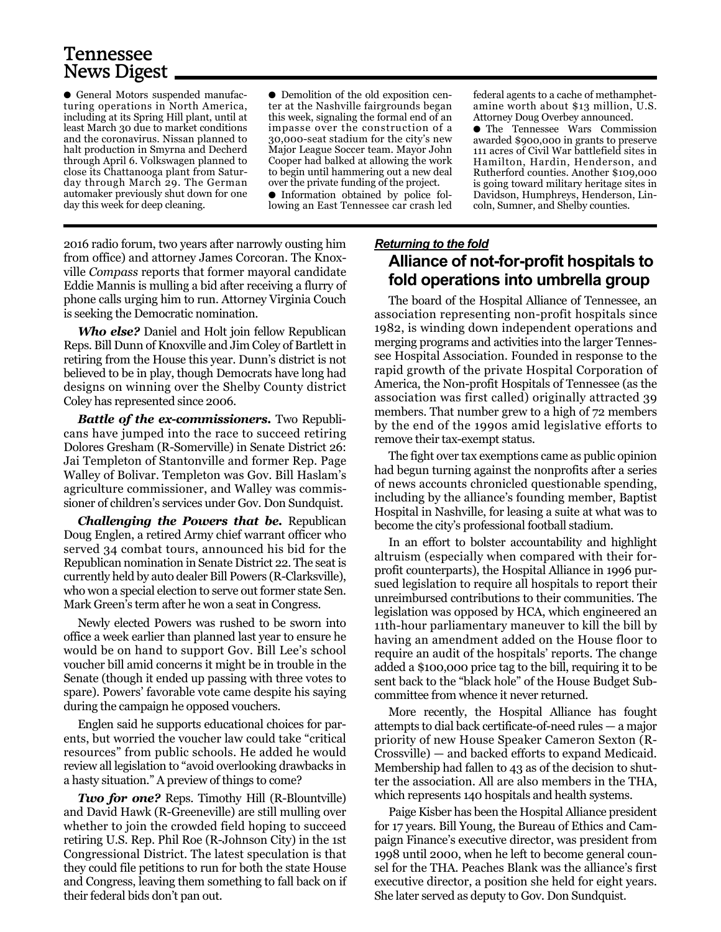## Tennessee News Digest

● General Motors suspended manufacturing operations in North America, including at its Spring Hill plant, until at least March 30 due to market conditions and the coronavirus. Nissan planned to halt production in Smyrna and Decherd through April 6. Volkswagen planned to close its Chattanooga plant from Saturday through March 29. The German automaker previously shut down for one day this week for deep cleaning.

● Demolition of the old exposition center at the Nashville fairgrounds began this week, signaling the formal end of an impasse over the construction of a 30,000-seat stadium for the city's new Major League Soccer team. Mayor John Cooper had balked at allowing the work to begin until hammering out a new deal over the private funding of the project. ● Information obtained by police following an East Tennessee car crash led

2016 radio forum, two years after narrowly ousting him from office) and attorney James Corcoran. The Knoxville *Compass* reports that former mayoral candidate Eddie Mannis is mulling a bid after receiving a flurry of phone calls urging him to run. Attorney Virginia Couch is seeking the Democratic nomination.

*Who else?* Daniel and Holt join fellow Republican Reps. Bill Dunn of Knoxville and Jim Coley of Bartlett in retiring from the House this year. Dunn's district is not believed to be in play, though Democrats have long had designs on winning over the Shelby County district Coley has represented since 2006.

*Battle of the ex-commissioners.* Two Republicans have jumped into the race to succeed retiring Dolores Gresham (R-Somerville) in Senate District 26: Jai Templeton of Stantonville and former Rep. Page Walley of Bolivar. Templeton was Gov. Bill Haslam's agriculture commissioner, and Walley was commissioner of children's services under Gov. Don Sundquist.

*Challenging the Powers that be.* Republican Doug Englen, a retired Army chief warrant officer who served 34 combat tours, announced his bid for the Republican nomination in Senate District 22. The seat is currently held by auto dealer Bill Powers (R-Clarksville), who won a special election to serve out former state Sen. Mark Green's term after he won a seat in Congress.

Newly elected Powers was rushed to be sworn into office a week earlier than planned last year to ensure he would be on hand to support Gov. Bill Lee's school voucher bill amid concerns it might be in trouble in the Senate (though it ended up passing with three votes to spare). Powers' favorable vote came despite his saying during the campaign he opposed vouchers.

Englen said he supports educational choices for parents, but worried the voucher law could take "critical resources" from public schools. He added he would review all legislation to "avoid overlooking drawbacks in a hasty situation." A preview of things to come?

*Two for one?* Reps. Timothy Hill (R-Blountville) and David Hawk (R-Greeneville) are still mulling over whether to join the crowded field hoping to succeed retiring U.S. Rep. Phil Roe (R-Johnson City) in the 1st Congressional District. The latest speculation is that they could file petitions to run for both the state House and Congress, leaving them something to fall back on if their federal bids don't pan out.

federal agents to a cache of methamphetamine worth about \$13 million, U.S. Attorney Doug Overbey announced.

● The Tennessee Wars Commission awarded \$900,000 in grants to preserve 111 acres of Civil War battlefield sites in Hamilton, Hardin, Henderson, and Rutherford counties. Another \$109,000 is going toward military heritage sites in Davidson, Humphreys, Henderson, Lincoln, Sumner, and Shelby counties.

#### *Returning to the fold* **Alliance of not-for-profit hospitals to fold operations into umbrella group**

The board of the Hospital Alliance of Tennessee, an association representing non-profit hospitals since 1982, is winding down independent operations and merging programs and activities into the larger Tennessee Hospital Association. Founded in response to the rapid growth of the private Hospital Corporation of America, the Non-profit Hospitals of Tennessee (as the association was first called) originally attracted 39 members. That number grew to a high of 72 members by the end of the 1990s amid legislative efforts to remove their tax-exempt status.

The fight over tax exemptions came as public opinion had begun turning against the nonprofits after a series of news accounts chronicled questionable spending, including by the alliance's founding member, Baptist Hospital in Nashville, for leasing a suite at what was to become the city's professional football stadium.

In an effort to bolster accountability and highlight altruism (especially when compared with their forprofit counterparts), the Hospital Alliance in 1996 pursued legislation to require all hospitals to report their unreimbursed contributions to their communities. The legislation was opposed by HCA, which engineered an 11th-hour parliamentary maneuver to kill the bill by having an amendment added on the House floor to require an audit of the hospitals' reports. The change added a \$100,000 price tag to the bill, requiring it to be sent back to the "black hole" of the House Budget Subcommittee from whence it never returned.

More recently, the Hospital Alliance has fought attempts to dial back certificate-of-need rules — a major priority of new House Speaker Cameron Sexton (R-Crossville) — and backed efforts to expand Medicaid. Membership had fallen to 43 as of the decision to shutter the association. All are also members in the THA, which represents 140 hospitals and health systems.

Paige Kisber has been the Hospital Alliance president for 17 years. Bill Young, the Bureau of Ethics and Campaign Finance's executive director, was president from 1998 until 2000, when he left to become general counsel for the THA. Peaches Blank was the alliance's first executive director, a position she held for eight years. She later served as deputy to Gov. Don Sundquist.